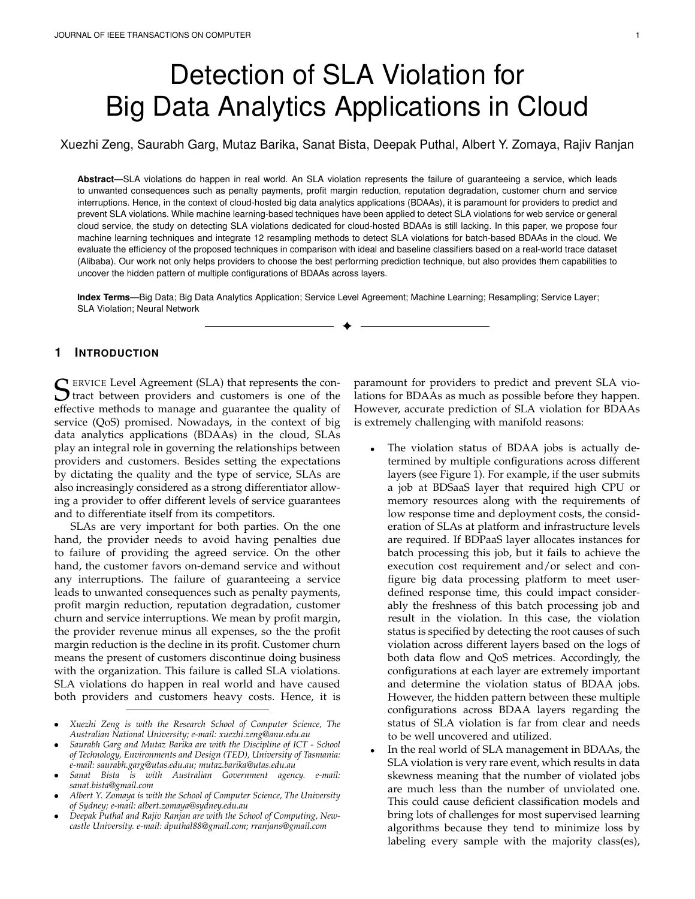# Detection of SLA Violation for Big Data Analytics Applications in Cloud

Xuezhi Zeng, Saurabh Garg, Mutaz Barika, Sanat Bista, Deepak Puthal, Albert Y. Zomaya, Rajiv Ranjan

**Abstract**—SLA violations do happen in real world. An SLA violation represents the failure of guaranteeing a service, which leads to unwanted consequences such as penalty payments, profit margin reduction, reputation degradation, customer churn and service interruptions. Hence, in the context of cloud-hosted big data analytics applications (BDAAs), it is paramount for providers to predict and prevent SLA violations. While machine learning-based techniques have been applied to detect SLA violations for web service or general cloud service, the study on detecting SLA violations dedicated for cloud-hosted BDAAs is still lacking. In this paper, we propose four machine learning techniques and integrate 12 resampling methods to detect SLA violations for batch-based BDAAs in the cloud. We evaluate the efficiency of the proposed techniques in comparison with ideal and baseline classifiers based on a real-world trace dataset (Alibaba). Our work not only helps providers to choose the best performing prediction technique, but also provides them capabilities to uncover the hidden pattern of multiple configurations of BDAAs across layers.

**Index Terms**—Big Data; Big Data Analytics Application; Service Level Agreement; Machine Learning; Resampling; Service Layer; SLA Violation; Neural Network

✦

## **1 INTRODUCTION**

SERVICE Level Agreement (SLA) that represents the con-<br>Stract between providers and customers is one of the<br>offective methods to manage and guarantee the quality of  $\sum$  tract between providers and customers is one of the effective methods to manage and guarantee the quality of service (QoS) promised. Nowadays, in the context of big data analytics applications (BDAAs) in the cloud, SLAs play an integral role in governing the relationships between providers and customers. Besides setting the expectations by dictating the quality and the type of service, SLAs are also increasingly considered as a strong differentiator allowing a provider to offer different levels of service guarantees and to differentiate itself from its competitors.

SLAs are very important for both parties. On the one hand, the provider needs to avoid having penalties due to failure of providing the agreed service. On the other hand, the customer favors on-demand service and without any interruptions. The failure of guaranteeing a service leads to unwanted consequences such as penalty payments, profit margin reduction, reputation degradation, customer churn and service interruptions. We mean by profit margin, the provider revenue minus all expenses, so the the profit margin reduction is the decline in its profit. Customer churn means the present of customers discontinue doing business with the organization. This failure is called SLA violations. SLA violations do happen in real world and have caused both providers and customers heavy costs. Hence, it is

- *Xuezhi Zeng is with the Research School of Computer Science, The Australian National University; e-mail: xuezhi.zeng@anu.edu.au*
- *Saurabh Garg and Mutaz Barika are with the Discipline of ICT School of Technology, Environments and Design (TED), University of Tasmania: e-mail: saurabh.garg@utas.edu.au; mutaz.barika@utas.edu.au*
- *Sanat Bista is with Australian Government agency. e-mail: sanat.bista@gmail.com*
- *Albert Y. Zomaya is with the School of Computer Science, The University of Sydney; e-mail: albert.zomaya@sydney.edu.au*
- *Deepak Puthal and Rajiv Ranjan are with the School of Computing, Newcastle University. e-mail: dputhal88@gmail.com; rranjans@gmail.com*

paramount for providers to predict and prevent SLA violations for BDAAs as much as possible before they happen. However, accurate prediction of SLA violation for BDAAs is extremely challenging with manifold reasons:

- The violation status of BDAA jobs is actually determined by multiple configurations across different layers (see Figure 1). For example, if the user submits a job at BDSaaS layer that required high CPU or memory resources along with the requirements of low response time and deployment costs, the consideration of SLAs at platform and infrastructure levels are required. If BDPaaS layer allocates instances for batch processing this job, but it fails to achieve the execution cost requirement and/or select and configure big data processing platform to meet userdefined response time, this could impact considerably the freshness of this batch processing job and result in the violation. In this case, the violation status is specified by detecting the root causes of such violation across different layers based on the logs of both data flow and QoS metrices. Accordingly, the configurations at each layer are extremely important and determine the violation status of BDAA jobs. However, the hidden pattern between these multiple configurations across BDAA layers regarding the status of SLA violation is far from clear and needs to be well uncovered and utilized.
- In the real world of SLA management in BDAAs, the SLA violation is very rare event, which results in data skewness meaning that the number of violated jobs are much less than the number of unviolated one. This could cause deficient classification models and bring lots of challenges for most supervised learning algorithms because they tend to minimize loss by labeling every sample with the majority class(es),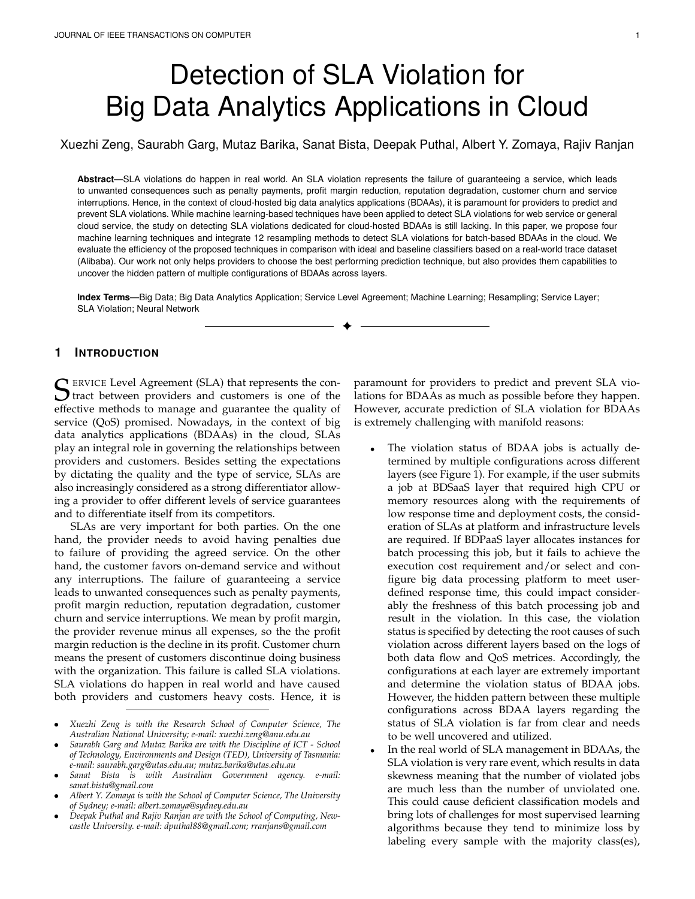leading to poor recall on the minority class(es). However, true misclassification costs may be much greater when minority class instances are missed. e.g., incorrectly predicting the actual "violated" jobs will cause the degradation of reputation and loss of profit for providers.

To address the aforementioned challenges, we explore 4 representative machine learning techniques (i.e., Logistic Regression, Artificial Neural Network, Random Forest, Extreme Gradient Boosting) with the integration of 12 resampling techniques (grouped by oversampling, undersampling and combination) to detect SLA violations for batch-based BDAAs workload in cloud. We also conduct extensive experiments in a real dataset to evaluate the efficiency of the proposed techniques.

The remainder of this paper is structured as follows. In Section 2, we present our research question and methodology. Section 3 presents the layer architecture of BDAAs. Section 4 discusses related works. Section 5 mathematically formulates the SLA violation detection problem. In Section 6, we discuss how we extract multiple features across layers and define SLA violation status based on the Alibaba trace dataset. Section 7 introduces four machine learningbased prediction models and articulates their fundamental working mechanism in terms of prediction. In Section 8, twelve diverse resampling techniques are presented. We then discuss 5 evaluation metrics in Section 9. In Section 10, extensive experiments results are presented and major findings are analysed. We further discuss a novel mathematical model for the providers' profit in Section 11. Section 12 analyses and discusses the experiment results based on the above mathematical model. In Section 13, We conclude our paper by pointing out two potential future directions.

## **2 RESEARCH QUESTION AND METHODOLOGY**

## **2.1 Research Question**

In this paper, we addressed the challenging question that is how to detect SLA violations for cloud-hosted big data analytics application across layers before they happen to maximize the providers' profit.

## **2.2 Research Methodology and Contributions**

The question of SLA violation detection has been addressed previously in the context of web service and general cloud service. Our methodology differentiates itself in the following aspects: (i) we choose a newly released workload trace dataset published by Alibaba, which is a good representation of batch-based BDAA workload; (ii) we detect SLA violations for this batch-based BDAA through the exploration of the four representative machine learning techniques (i.e., Logistics Regression, Artificial Neural Network, Random Forest, and Extreme Gradient Boosting); (iii) we apply 12 diverse resampling techniques (5 oversampling, 5 undersampling and 2 combined resampling) into the above four machine learning predictors to handle data skewness problem; (iv) we conduct extensive experiments to evaluate the efficiency of SLA violation detection based on five metrics (i.e., accuracy, precision, recall,  $F_2$  score, and ROC); (v) we design a mathematical model to formulate the provider's profit and investigate how the outcome of a prediction technique impact providers' profit. This work is



Datacentre Provider A Datacentre Provider B Datacentre Provider C

Fig. 1. The layer-based architecture of big data analytics applications in cloud

one of the first attempts towards detection of SLA violations dedicated for big data analytics applications through an integrated application of machine learning and resampling techniques. This work will help providers to choose the best performing prediction technique, and most importantly, it can uncover the hidden patterns of the multiple configurations of BDAAs across layers and hence provide insightful information for providers' decision-making process.

# **3 LAYER-BASED ARCHITECTURE OF BIG ANALYTICS APPLICATIONS IN CLOUD**

According to the works in  $[1]$ ,  $[2]$ ,  $[3]$ ,  $[4]$ ,  $[5]$ , a typical cloud-hosted BDAA spans multiple layers. Each layer serves a different function and consists of different components/frameworks. We give a pictorial representation of a layer-based architecture for cloud-hosted BDAAs, which is shown in Figure 1.

It is observed that there are three layers from top to bottom: Big Data Software as a Service (BDSaaS), Big Data Platform as a Service (BDPaaS) and Cloud Infrastructure as a Service (CIaaS). Beyond the top level are usually end users who request analytics service through the interface. It is not difficult to understand that an end user is a client of the BDSaaS, where BDPaaS and CIaaS are service providers to BDSaaS. The BDPaaS provider provides big data analytics platforms, while CIaaS provider provides scalable hardware resources in a virtualized environment. The details of each layer are described in the Appendix A.

## **4 RELATED WORKS**

Many machine learning-based approaches have been applied in recent years to tackle SLA violation prediction problem.

Leither et al. [6] proposed an approach to predict SLA violations in runtime mode for compound web services. They built a regression-based prediction model that takes typical service quality data and process instance data as input, such as availability, system workload, response time, ordered products and customer identifiers. They implemented their prediction model by using a fully Java-based machine learning toolkit called WEKA. However, this toolkit is not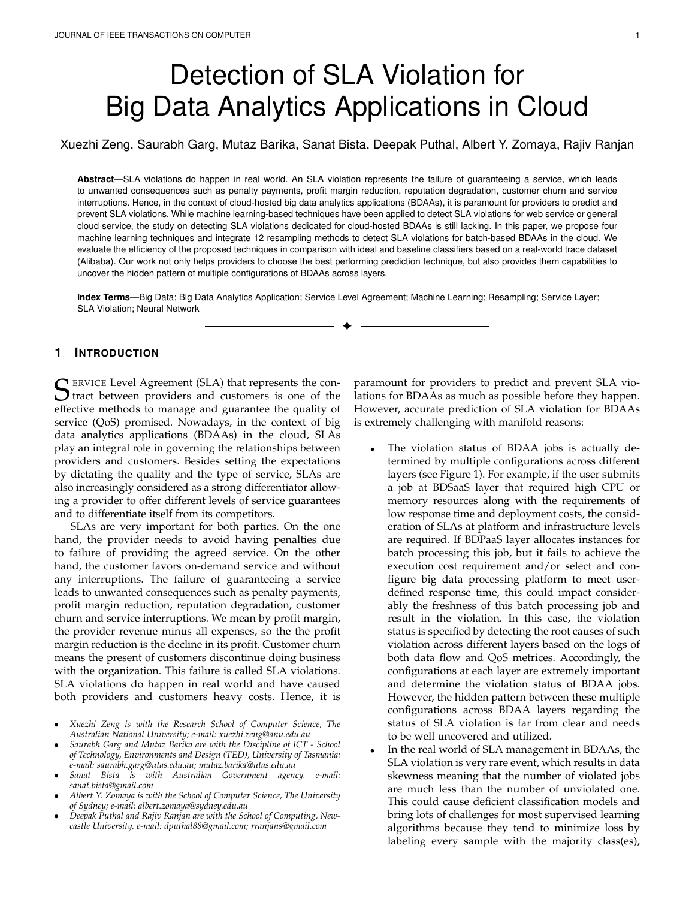scalable to suit the situation in real world, where the scale of the dataset is much bigger in comparison to the one which is used in this paper. Moreover, the layered big data analytics application framework is fundamentally different from their composite web services.

Jules et al. [7] proposed a Bayesian Network-based model that calculates and constantly updates the reputation of a trusted provider. Moreover, they introduced a probabilistic ontology-based technique that can forecast SLA violations in terms of contract parameters. Although their approach achieved a decent performance, the dataset is artificially produced by simulation, which has defect in representing a real application workload. For example, SLA violations occupy 40% in their generated dataset, which disregards the reality that SLA violations are very rare (< 10%) in real application deployment scenarios.

The authors in the paper [8] focused on predicting SLA violations for cloud services. They built a prediction model that uses Naive Bayesian algorithm and takes service quality datasets regarding historically measured web service as the input. In this paper, they investigated and validated the most valid feature combinations for prediction. Still, their web application workloads are fundamentally different from big data analytics application workloads and hence is not applicable to predict SLA violations for cloud-hosted BDAAs.

Hemmat et al. [9] systematically compared the performance of two machine learning classification models for predicting SLA violation by analyzing Google cluster trace dataset [10]. They explore several methods of handling unbalanced data. Despite its good performance, the authors resample the training data before the cross validation, which leads to the problem of information leakage and overfitting. Also, the features they extracted are task-oriented rather than application as a whole. Hence, the prediction outcome of SLA violation is actually for tasks, which is not what a provider really cares about.

Uriarte et al. [11] performed their SLA violation approach using Google Cluster trace dataset as well. They cluster the resource usage and duration of services using an unsupervised learning-based technique. If a service in a cluster is detected a violation, the prospective resources will be allocated to the other services hosted in the same cluster in order to avoid the further violation. Although it is helpful for avoiding violation in this cluster, explicit violation forecast towards each service is lacked.

In summary, our work compared with the aforementioned works focuses on specific big data application type (i.e. batch-based BDAA) and integrates different diverse skewness handling techniques in machine learning algorithms along with the consideration of provider profit.

# **5 PROBLEM FORMULATION OF SLA VIO-LATION DETECTION**

We formulate the detection of SLA violation for cloudhosted BDAAs as a binary classification problem and define the notations to describe this problem in Table 1.

Given a set of features extracted from the Alibaba cloud trace (see Section 5), what is the probability of failure of a submitted batch job, which results in SLA violation, or

TABLE 1 Notation used in formulating SLA violation detection problem

| <b>Symbols</b>             | Description                                                                                                   |  |
|----------------------------|---------------------------------------------------------------------------------------------------------------|--|
|                            | Represents a space containing descriptions of batch                                                           |  |
|                            | jobs. $X = (X_1, X_2, , X_m)$ , where $X_m$ statistically                                                     |  |
|                            | describes the property of a batch job from an aspect,                                                         |  |
|                            | such as the requested CPU configuration (e.g., speed,                                                         |  |
|                            | number of cores), or requested memory and so on                                                               |  |
|                            | Represents a space labeling SLA violation status. For                                                         |  |
|                            | the binary problem, there are only two classes. $Y =$                                                         |  |
|                            | [0, 1]. Y=0 means the batch job is unviolated and $Y=1$<br>means the batch job is violated                    |  |
|                            |                                                                                                               |  |
| n                          | The number of observed samples                                                                                |  |
| $D_{\scriptscriptstyle P}$ | Denotes the training<br>dataset.<br>$D_n$<br>$[(x_1; y_1); \dots; (x_i; y_i); i = 1; 2; \dots; n] \in (X; Y)$ |  |
|                            |                                                                                                               |  |

the probability that this batch job is successfully processed without SLA violation?

A binary classification problem aims to find a function :  $X$  ! Y based on  $D_n$  that gives a new sample  $X_{new} \supseteq X$ , predicts  $\hat{Y} = (X_{new}) 2 Y$ .

## **6 DATASET**

In this paper, we pursue our exploration on a BDAA workload dataset released by Alibaba in the September of 2017 [12]. As a leading public cloud platforms over the world, Alibaba Cloud is running millions of batch jobs or online services across hundreds of datacenters every day using the latest big data technologies. This dataset contains a workload trace of a BDAA cluster. Each trace file includes the job statistics over 12 hours and has information about 1300 virtual machines that execute both offline batch jobs and online service in this cluster. As regards to the batch processing BDAA workloads, the trace details the information including job ids, task ids, instances types, and machines' hardware configuration. To the best of our knowledge, this dataset has not been extensively utilized by the research community. Lu et al. [13] performed a characterization of the Alibaba cloud trace and disclosed four types of imbalance (i.e., spatial imbalance, temporal imbalance, proportion imbalance of resources utilization per workload, and resource demands and runtime statistics imbalance). The work in [14] investigates the elasticity and plasticity of resource allocation of the Alibaba trace. The authors in [15] focused on providing a unique and microscopic view about how the co-located workloads interact and impact each other.

In the Alibaba dataset, three types of information are available as regards to job deployment and execution including machine utilization, runtime batch processing job workload information, and runtime online service workload. For the sake of confidentiality, Alibaba has excluded or obfuscated part of the dataset. For instance, they normalized the values regarding the utilization of disk and memory. Service workload is given a numeric id, which is unique in the trace period. No service and task names are given. In this paper, we focus on the batch workload information whose entity relationship diagram is shown in the Figure 1 of Appendix B.

It is seen that batch workloads are depicted in two tables: "Batch Task" table and "Batch Instance" table. A batch workload is submitted by the user in the form of a job. Each job comprises various tasks that were submitted to the cluster and forms a directed acyclic graph (very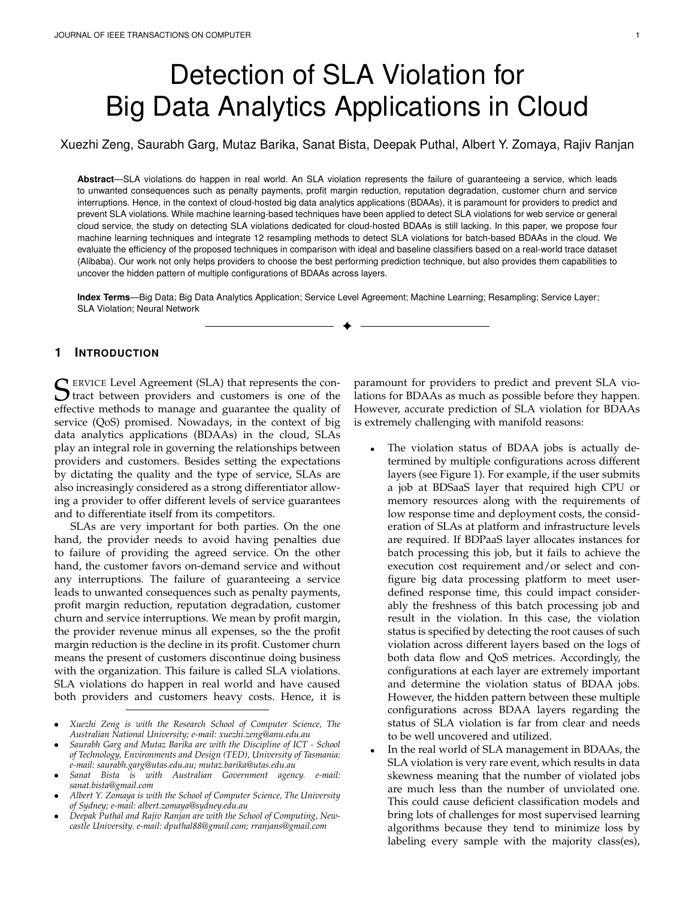

Fig. 2. The structure of batch workload in Alibaba trace dataset

similar to MapReduce execution graph) according to the data dependency. The event cycle of the tasks inside each job are traced in the "Batch Task" table. Each task consists of numerous instances and executes diverse computing logic. The instance is the smallest scheduling unit of the batch workload in Alibaba's cloud platform. All instances inside a task process the identical binary code with same multiple resource demands, but executing different fragments of data. Such execution flow is in line with the MapReduce programming model. Each instance within a task pertains to one job and is then assigned to a specific cluster computing machine that utilizes a Linux container to execute that task instance. While a majority of batch processing job can include hundreds of tasks instances, few selected ones can also include an extremely large number of tasks instances. For example, the research work in [13] reported that a job had 60000+ task instances. In our research, the metadata related to tasks instances is tracked in "Batch Instance" table. The meta information of machine in an Alibaba cluster is captured in the following two tables (i.e., "Machine Events" and "Machine Utilization" table). The "Machine Events" table shows three types of events (e.g., addition, soft error or hard error), and reflects the normalized physical capacity of each machine along the aspects in terms of RAM size and CPU cores. "Machine Utilization" table records the attributes of each machine such as machine ID, utilization of CPU, utilization of memory and so on.

The configurations of job, task, instance and machine are critical elements for batch workloads in BDAAs across different layers. The structure of batch workloads running on Alibaba cluster machines is demonstrated in Figure 2.

#### **6.1 Feature Extraction**

From Alibaba dataset, we notice that there are multiple jobs, where each job depends on its multiple tasks. The computing logic requirements of each task need to be achieved by scheduling its instances on cluster computing machines. In other words, each task has its own requirements including number of instances, and machine CPU and memory required for each instance. This means that failing to achieve the machine CPU and memory requested by any instance in a task contributes to SLA violation. Similarly, multiple tasks within a job contribute to SLA violation in case of the requirements of any task does not meet.

To apply machine learning techniques to detect SLA violation, we need to extract features based on the batch workload information in this dataset. Since a job consists of multiple tasks, for generality, let a job  $J = (T_1; \dots; T_i; \dots; T_m)$ . For each task  $T_i$  in  $J$ , it consists of multiple instances. Let  $T_i = (Inst_1^i; Inst_2^i; ...; Inst_k^i; ...; Inst_N^i)$ , where  $N_i$  denotes the number of instances of  $T_i$  always takes an integer value 1.

Let  $Inst^i_k(real\_cpu\_max)$  denotes the maximum CPU numbers of actual instance running for the instance,  $Inst^i_k(real_cpu_avg)$  denotes the average CPU numbers of actual instance running for the instance,  $Inst^i_k (real\_mem\_max)$  denotes the maximum normalized memory for the instance,  $Inst<sub>k</sub><sup>i</sup>(real\_mem\_avg)$  denotes the average normalized memory for the instance.  $Inst^i_k(cpu\_capacity)$  denotes the normalized physical CPU capacity of the machine that has been used by the instance,  $Inst_{k}^{i}$  (mem\_capacity) denotes the normalized physical memory capacity of the machine that has been used by the instance,  $T_i$ (cpu\_requested) denotes the CPU requested for each instance of the task, and  $T_i$ (*mem\_requested*) denotes the normalized memory requested for each instance of the task. Then, for each job  $J$ , we do a set of mathematical aggregation operations on the above variables in order to extract features across layers. Finally, ten features are generated as follows (all the features have been normalised based on the number of tasks):

**BDSaaS layer**:

| ⋊                                                   |     |                          |
|-----------------------------------------------------|-----|--------------------------|
|                                                     |     | $T_i$ (cpu_requested)    |
| $X_1$ : cpu_requested_per_j ob = $\frac{i-1}{i}$    |     |                          |
|                                                     | y'n | m                        |
|                                                     |     | $T_i$ (memory_requested) |
| $X_2$ : memory_requested_per_j ob = $\frac{i-1}{i}$ |     |                          |
| $X_3: num\_tasks\_per\_job = m$                     |     | m                        |

**BDPaaS layer**:

$$
x_{4}: num\_instances\_per\_job = \frac{i-1}{m}
$$
\n
$$
x_{5}: real\_cpu\_max\_per\_job = \frac{i-1}{m}k+1
$$
\n
$$
x_{6}: real\_cpu\_max\_per\_job = \frac{i-1}{m}k+1
$$
\n
$$
x_{7}: real\_cpu\_avg\_per\_job = \frac{i-1}{m}k+1
$$
\n
$$
x_{8}: real\_cpu\_avg\_per\_job = \frac{i-1}{m}k+1
$$
\n
$$
x_{9}: x_{1}: real\_mem\_max\_per\_job = \frac{i-1}{m}k+1
$$
\n
$$
x_{1}: real\_mem\_max\_per\_job = \frac{i-1}{m}k+1
$$
\n
$$
x_{1}: real\_mem\_avg\_per\_job = \frac{i-1}{m}k+1
$$
\n
$$
x_{1}: real\_mem\_avg\_per\_job = \frac{i-1}{m}k+1
$$
\n
$$
x_{1}: real\_mem\_avg\_per\_job = \frac{i-1}{m}k+1
$$
\n
$$
x_{2}: real\_mem\_avg\_per\_job = \frac{i-1}{m}k+1
$$
\n
$$
x_{3}: real\_mem\_avg\_per\_job = \frac{i-1}{m}k+1
$$

**CIaaS layer**:

$$
\begin{array}{ccc}\n\bigtimes^n & \mathbb{X}^i \\
I \, nst_k^i(\text{cpu\_capacity}) = N_i\n\end{array}
$$

m

 $X_9:$  *cpu\_capacity\_per\_job =*  $\frac{i=1 \; k=1}{k}$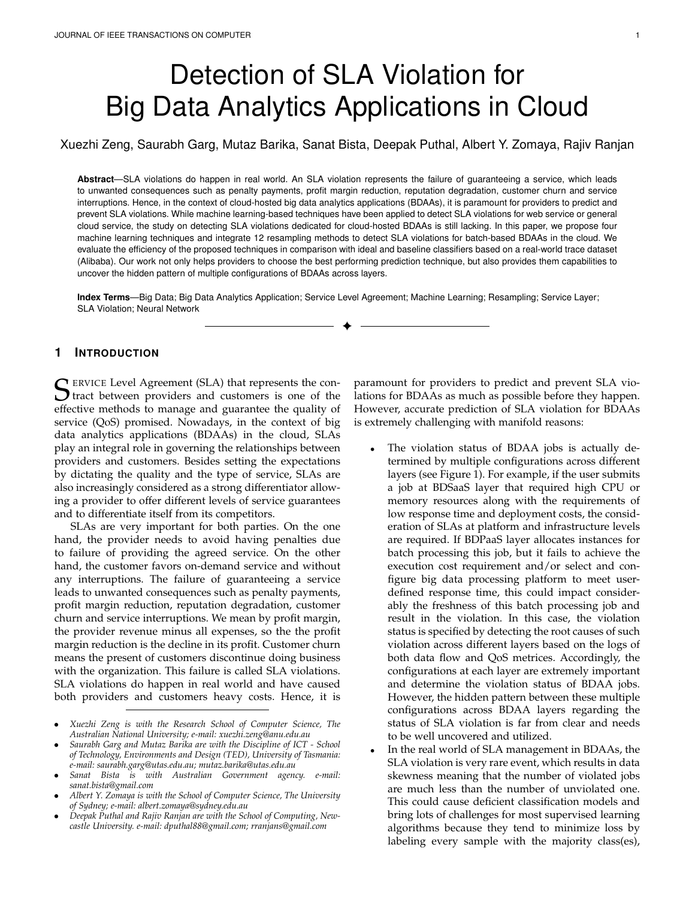$\chi_{\nu}$ 

m

 $\chi_i$ *Inst*<sup>*k*</sup>(*mem\_capacity*)= $N_i$  of two classes (non-violated and violated) in terms of these feature values.

$$
X_{10}: mem\_capacity\_per\_job = \frac{i-1}{k-1}
$$

As high level features, the above ten features ( $X_1$   $X_{10}$ ) provide an effective representation of each batch job J. We could also consider other criterion such as Linux CPU load, disk space requested or running trials number as features. However, we refrain from using redundant features for the purpose of preventing the model suffering from overfitting.

## **6.2 SLA Violation Definition**

Besides the features, we also need to formulate the target SLA violation status [0: "non-violated", 1: "violated"] for each batch J. According to the dataset, there are four main types of states for a batch task:

- Terminated: a task goes to 'Terminated' when all its instances are done, meaning this batch task successfully processed
- Waiting: a task is not initialized yet
- Failed: a task fails
- Running: a task is being processed

In this dataset, most of tasks are terminated in a normal mode, while 2000 plus have "waiting" state. Since a job consists of multiple tasks, we can set the criteria that for one job, only the state of all of its tasks is "Terminated", the job is regarded as "Terminated". If one of its task's state is "Failed", the job is regarded as "Failed". Similarly, if one of its task' state is "Running", the job is regarded as "Running".

There are 12951 jobs in total. We have performed data quality check and pre-processing work as the foremost step. We remove some "abnormal" jobs that have corresponding tasks with missing values in the dataset, and then drop some "abnormal" jobs that have latest finished task is earlier than the earliest created tasks. After this, 11897 valid jobs remain, where 10774 jobs are labeled "Terminated" (successfully processed), and 1123 jobs are labeled "Failed" based on the above criteria.

In order to determine SLA violations, we need to have particular details in terms of the service quality and service level objectives. Although such information is not available in this dataset, we could discover SLA violation of a job according to the availability of its tasks. Specifically, we detect a job as "violated" if at least one of its corresponding tasks is failed and unusable, representing this job failure causing loss for both providers and customers. Accordingly, we detect a job as "non-violated" if all tasks of this job are terminated normally,representing that this job is successfully finished.

Based on this SLA violation definition, the percentage of "non-violated" batch jobs (10774 in total) among all the valid jobs (11897 in total) is 90.56%, and hence the ratio of SLA violation is only 9.44%. We can conclude that the quantity of violated and non-violated jobs are highly skewed, which is visualized in the Figure 2 of Appendix C.

## **6.3 Examples of Features and SLA Violation Status**

For the ten features  $(X_1 \t X_{10})$ , their feature ID, feature name, description, type and corresponding layer are detailed in Table 2. Further, Table 3 gives specific samples

TABLE 2 Summary of the ten features and their classification by layer

| Layer               | Feature<br>ID | <b>Feature Name</b>   | Description                                                                                                                  | Type    |
|---------------------|---------------|-----------------------|------------------------------------------------------------------------------------------------------------------------------|---------|
| <b>BDSaaS</b>       | $X_1$         | cpu requested per job | A floating point number indi-<br>cating the amount of requested<br><b>CPU</b>                                                | Float   |
|                     | $X_2$         | mem_requested_per_job | A floating point number indi-<br>cating the normalized amount<br>of requested memory                                         | Float   |
|                     | $X_3$         | num_tasks_per_job     | An integer representing how<br>many tasks a batch job has, with<br>one as the minimum number of<br>tasks                     | Integer |
| <b>BDPaaS</b> $X_4$ |               | num_instances_per_job | A floating point number indi-<br>cating the number of instances<br>per job, with 1.0 as the mini-<br>mum number of instances | Float   |
|                     | $X_{5}$       | real_cpu_max_per_job  | A floating point number indi-<br>cating maximum CPU numbers<br>of actual instance running                                    | Float   |
|                     | $X_{6}$       | real_cpu_avg_per_job  | A floating point number indi-<br>cating average CPU numbers of<br>actual instance running                                    | Float   |
|                     | $X_{7}$       | real_mem_max_per_job  | A floating point number in-<br>dicating maximum normalized<br>memory of actual instance run-<br>ning                         | Float   |
|                     | $X_{8}$       | real_mem_avg_per_job  | A floating point number in-<br>dicating average normalized<br>memory of actual instance run-<br>ning                         | Float   |
| ClaaS               | $X_9$         | cpu_capacity_per_job  | A floating point number indi-<br>cating the capacity of CPU of a<br>machine                                                  | Float   |
|                     | $X_{10}$      | mem_capacity_per_job  | A floating point number indi-<br>cating the capacity of normal-<br>ized memory of a machine                                  | Float   |

It is observed that the range of values in the above table varies widely such as the value of feature  $X_2$  in the violated example is 0.0055 while the value of feature  $X_1$ in the violated example is 100. This is because, in this dataset, the values for disk and memory utilization have been normalized for confidentiality reasons while the values for requested CPU have not been normalized.

It is worth noting that the absent of normalization will cause objective functions of most machine learning algorithms work improperly. This is because the majority of classifiers in these algorithms use Euclidean distance method to calculate the distance between two points. The value of distance will be dominated by a particular feature that has a broad range of values. Therefore, we normalize all the above features (from  $X_1$  to  $X_{10}$ ) by applying standardization methods such as Min-Max scaling [16], such that each feature has approximately proportionate contribution to the final Euclidean distance.

# **7 PREDICTION MODELS**

After extracting ten features and then defining SLA and its status [0: "non-violated", 1: "violated"], all these features will be utilized in prediction models to detect SLA violation. For detecting SLA violation in the Alibaba dataset, there are many machine learning prediction models that can be used. However, we particularly selected Logistics Regression (LR) [17], Artificial Neural Network (ANN) [18], Random Forest (RF) [19] and Extreme Gradient Boosting (XGB) [20] for the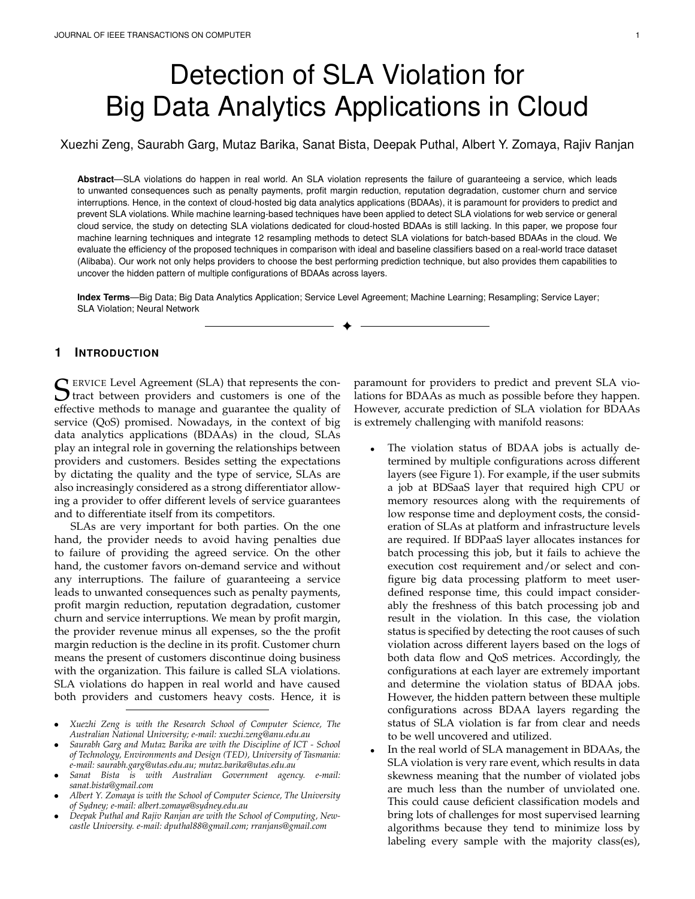TABLE 3 Samples of two classes (violated and non-violated Job)

| Feature  | <b>Feature Description</b> | <b>Violated Job</b> | Non-Violated Job |
|----------|----------------------------|---------------------|------------------|
| $X_1$    | cpu requested per job      | 100                 | 50               |
| $X_{2}$  | mem_requested_per_job      | 0.0055              | 0.0094           |
| $X_3$    | num_tasks_per_job          |                     | 14               |
| $X_4$    | num instances per job      | 85.57               | 87.86            |
| $X_5$    | real cpu max per job       | 0.7819              | 4.1895           |
| $X_6$    | real_cpu_avg_per_job       | 0.4324              | 0.2622           |
| $X_7$    | real_mem_max_per_job       | 0.0083              | 0.0143           |
| $X_{8}$  | real_mem_avg_per_job       | 0.0057              | 0.0098           |
| $X_{9}$  | cpu_capacity_per_job       | 63.5719             | 63.8789          |
| $X_{10}$ | mem_capacity_per_job       | 0.6853              | 0.6886           |

following reasons (Details of these prediction models can be seen in Appendix D).

- LR is one of the elementary and likely most commonly used machine learning algorithms for solving all classification problem. It is easy to implement, fast to train and returns probability scores
- ANN is one of advanced machine learning models leveraging deep learning technology. It works by splitting the problem of classification into a layered network of simpler elements. Hence, it is very meaningful to apply ANN to detect SLA violation for layer-based big data analytics applications
- RF is one of popular ensemble machine learning models. It is an improvement over bagged decision trees and returns the importance of all features, which provides insightful information regarding features contribution to SLA violation detection
- XGB is also one of ensemble machine learning models and returns the importance of all features. Unlike RF, it is based on boosting concept

# **8 TACKLING UNBALANCED DATA**

We will feed the dataset to the aforementioned four machine learning prediction models to detect future SLA violations. Since the two classes [0: "non-violated", 1: "violated"] in the Alibaba dataset are heavily unbalanced, this is known as data skewness which makes the classification task extremely hard. This is because the classifier will always tend to predict the dominant class. However, the true misclassification costs may be much greater when minority class instances are missed. For instance,, incorrectly predicting the actual "violated" jobs will cause the degradation of reputation and loss of profit for providers.

As a broadly adopted approach in handling unbalanced datasets, resampling efficiently changes the distribution training data for the purpose of biasing the classifier towards the minority class. Basically, resampling can be divided into two groups (i.e., undersampling and oversampling). Undersampling denotes removing samples from the majority class, while oversampling represents adding more examples from the minority class. Different forms of resampling techniques are detailed in Appendix E. The resampling techniques discussed in this paper are by no means an exhaustive list.

## **9 EVALUATION METRICS**

In order to measure the performance of the above prediction models in the dataset, evaluation metrics are required,

TABLE 4 Confusion matrix in binary classification

|                      | Positive (Real)     | Negative (Real)     |
|----------------------|---------------------|---------------------|
| Positive(Prediction) | True Positive (TP)  | False Positive (FP) |
| Negative(Prediction) | False Negative (FN) | True Negative (TN)  |

which helps us indicate how skilfully a model will perform. Thus, after a prediction model is trained on the training set, it must be validated on an unseen testing dataset. This approach is beneficial in choosing a model that will have reasonably decent performance on unknown dataset. In this paper, five diverse evaluation metrics have been used. They include Accuracy, Precision, Recall, Receiver Operating Characteristic (ROC) area, and  $F$  score.

Let us first present the confusion matrix in Table 4 which will help us to define the above metrics. We can see that in a confusion matrix, the correctly classified instances are in the diagonal of the matrix, the True Positive (TP) and True Negative (TN) cases. The misclassified instances are the False Positive (FP) and False Negative (FN) ones. In our problem, FP denotes the quantity of examples that are erroneously classified as "violated" where the real label are "non-violated". Similarly, TP represents the number of examples that are correctly classified as "violated" where the real label are "violated". Regarding SLA violation detection, it is worth noticing that the most important value to increase is the number of TPs cases, which correspond with the correctly detected SLA violations. Metrics involving the TNs are usually not useful because this number is usually much higher than its TP counterpart, as SLA violations are rare events. Therefore, our objective is to find the right balance of FNs and FPs, while maximizing the TP observations. Usually, minimizing the FN instances is prioritized over minimizing the FPs due to the higher value in detecting new SLA violations and higher loss that new SLA violations cause. Based on the above confusion matrix, different metrics can be computed depending on what we are interested in measuring (details of these evaluation metrics are described in Appendix F).

# **10 EVALUATION AND ANALYSIS OF THE PREDICTION MODELS**

In order to train and validate the skill of the four prediction models on unknown data, a 10-fold stratified cross validation has been used on 11897 batch jobs obtained from the Alibaba trace.

The 10-fold stratified cross-validation method validates predication technique by splitting the dataset into 10 equal size subsets, ensuring that each subset is a representation of the entire data. In each fold, the original dataset has been randomly split into two parts, where one part is used for training phrase while the remainder is retained as test set for validation phrase. The ratio of "non-violated" and "violated" jobs in the validation part remains equally with the ratio in the original dataset. To avoid leaking the information of validation data to training data, which often results in overfitting, it is critical to perform the cross validation before resampling. Resampling can only be done on the samples which are applied for training the particular type of machine learning predictor.

The value of accuracy, precision, recall,  $F_2$  score and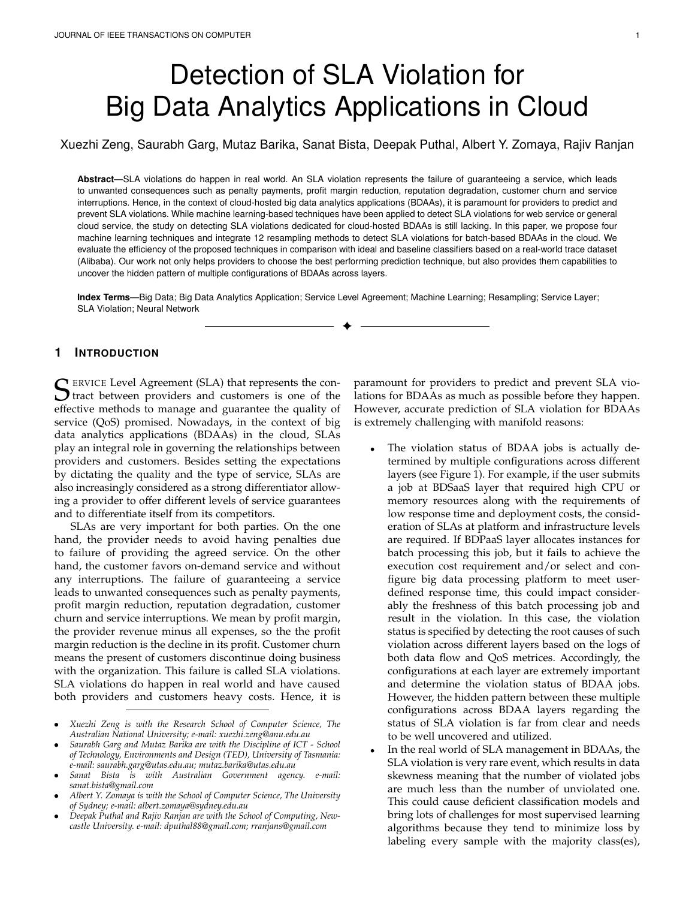ROC area for each prediction technique (representing a particular predictor performing either in the original imbalanced dataset or in the resampled dataset using a particular skewness handling technique) are calculated in each fold. Then, their statistics information can be acquired after repeating the experiments ten times. Moreover, we introduced two more classifiers to compare how skilful the four prediction models perform.

**Ideal Classifier**: represents a classifier that can perfectly predict those actual "non-violated" batch jobs as "nonviolated" and those actual "violated" batch jobs as "violated". In this case, all of evaluation metrics (i.e., accuracy, precision, recall,  $F_2$  and ROC area) are 1.0. This is an ideal classifier and could be regarded as the best case.

**Baseline Classifier**: this classifier applies the simplest rule on our SLA violation detection problem that it simply predicts every sample in the dataset as the majority class (i.e., "non-violated"). It can be derived that the accuracy of Baseline classifier is 0.9056 and the ROC area is 0.5. The value of precision, recall and  $F_2$  score are 0.0. This classifier involves the less effort of prediction and could be regarded as the baseline.

## **10.1 Results of Cross Validation**

For each prediction model, the table of the cross validation result is detailed in Appendix G.

## *10.1.1 Logistics Regression*

It is observed from Table 1 in Appendix G that LR using all of the resampling techniques except one-sided selection (OSS) outperform LR in the original dataset regarding  $F_2$  score and ROC area. However, none of the above techniques achieve an acceptable  $F_2$  score. The top  $F_2$  score achieved by Borderline-1 is only 59.96%. It is also found that Borderline-1 has the highest ROC value (81.18%) outperforming other techniques, Regarding the recall value, NearMiss-1, NearMiss-2 and Borderline-2 rank the top three, 92.07%, 90.02%, and 89.04% respectively.

In summary, LR's performance is under par as regards to predict SLA violation on this Alibaba dataset. It means LR is a simple model without the capability of finding the hidden pattern among the multiple configurations across layers. It gives us an indicator that a more complex model should be explored.

## *10.1.2 Artificial Neural Network*

It can be seen from Table 2 in Appendix G that the prediction outcome is much better than that of logistics regression (LR). The highest recall value is 93.14%, achieved by Borderline-2. Regarding  $F_2$  score, 62% of the above 13 approaches achieve higher than 60%. The top three  $F_2$  score achiever are SMOTE-ENN, Borderline-1 and ROS, 71.7%, 69.66%, and 69.55% respectively. Notably, SMOTE-ENN also ranks the top in the ROC area (87.93%), with an acceptable accuracy value of 85.58%.

It can be concluded that although ANN that we designed and implemented is as simple as ten features in the input layer and three neurons in the hidden layer, it achieves a very decent detection of SLA violation in this dataset. In comparison to LR, ANN is much better at understanding the hidden relationship of those multiple configurations across layers and hence leads to better prediction efficiency. It is worth noting that the performance of ANN in the original

#### *10.1.3 Random Forest*

Based on Table 3 in Appendix G, it is seen that RF outperforms LR and ANN. This time, NearMiss-2 wins the highest recall values, which is 95.9%. In comparison with the top recall winner by ANN, RF also improves the recall value by 3% using NearMiss-2. Among the above 13 approaches, 54% of them achieve  $F_2$  score that is above 80%, which is very encouraging. The top  $F_2$  score is 83.57%, achieved by borderline-2. Compared with the top  $F_2$  score winner by ANN, RF significantly improved the  $F_2$  score by 17% through the application of borderline-2. Regarding ROC area, SMOTE-ENN achieved 91.95%, ranking the first. Also, SMOTE-ENN has a very high accuracy rate of 95.24%.

It demonstrates that RF is more effective than LR and ANN in predicting SLA violation in this Alibaba dataset. Even without resampling, it still achieves an admissible performance (accuracy = 97.04%, recall = 74.08% and  $F_2$  = 77.22%). RF has better performance because it is a baggingbased tree classifier, which are less sensitive to class distributions, while LR and ANN are very sensitive with the highly biased class distribution and cannot generate any acceptable results without leveraging resampling techniques.

#### *10.1.4 Extreme Gradient Boosting*

It is shown in Table 4 in Appendix G that XGB plus NearMiss2 achieved a stunning recall value of 97.15%. In comparison with the top recall score achiever by random forest (RF) plus NearMiss-2, XGB plus NearMiss-2 improved the recall score by 1.3%. Regarding  $F_2$  score, the performance of XGB plus random oversampling (ROC) ( $F_2$ ) score =  $82.99\%$ ) is marginally lower than that of RF plus borderline-2 ( $F_2$  score = 83.57%).

It is also found that without using resampling technique, the performance of XGB (accuracy =  $96.91\%$ , recall =  $74.17\%$ ,  $F_2$  = 77.07% and ROC area = 96.91%) is very similar with the performance of RF (accuracy =  $97.04\%$ , recall =  $74.08\%$ ,  $F_2$  $= 77.22\%$  and ROC area  $= 86.76\%)$ ). Like RF, XGB has better performance because it is also a decision tree-based classifier, which is more tolerable to class distributions. Thus, it achieves decent performance even without resampling.

## **10.2 Analysis of Prediction Outcome**

According to the above extensive experiments results, for each evaluation metrics, we can study how skilful these prediction techniques are when compared with the "Ideal" and "Baseline" classifiers.

According to Figure 3, it is observed that among the top 10 accuracy value, only one undersampling technique (one-sided selection) performs well, the remaining are all oversampling techniques. Moreover, two predictors (random forest and extreme gradient boosting) occupy the top ten accuracy list. Specifically, RF plus one-side selection (OSS), and XGB plus OSS achieve very high accuracy, 97.02%, and 96.92% respectively. However, their accuracy value are gently lower than the accuracy achieved by RF in the original dataset. It is also noted that RF or XGB plus some resampling techniques (one-sided selection, random oversampling, SMOTE, Borderline family, ADASYN and SMOTE - Tomek) significantly improve the accuracy com-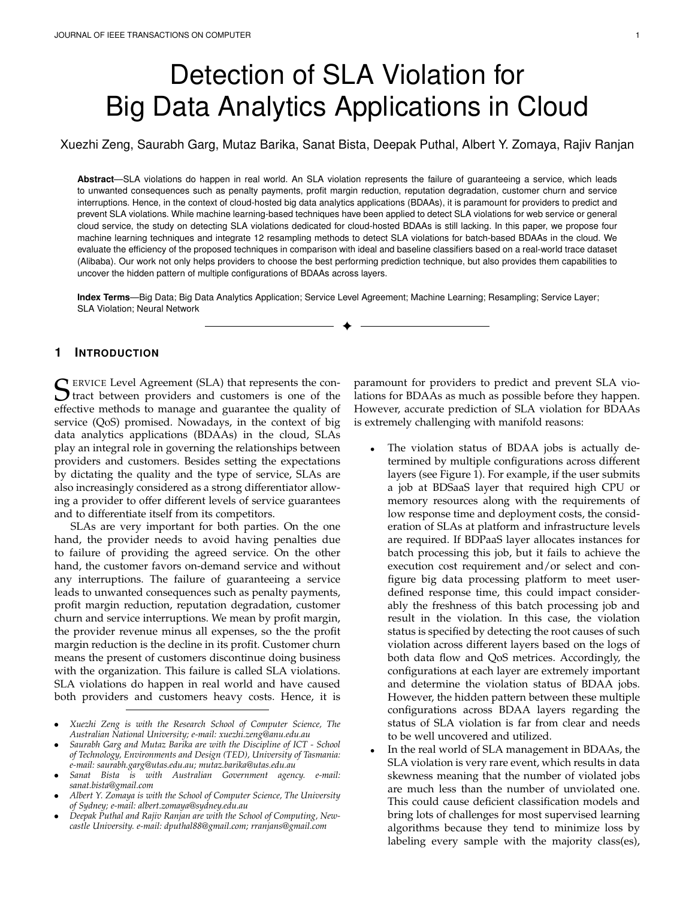

Fig. 3. Top 10 techniques measured by accuracy



Fig. 4. Top 10 techniques measured by precision

pared with the Baseline classifier (accuracy  $= 90.56\%$ ). It is concluded that random forest is the technique winning the top accuracy value.

From Figure 4, it is found that among the top 10 prediction techniques, only one uses the undersampling technique (one-sided selection), the remaining are all oversampling techniques. One-sided selection (OSS) performs better in achieving high precision compared with other resampling techniques. Take random forest (RF) as an example, the precision value of RF plus OSS is higher than RF plus other resampling techniques. However, the precision of OSS plus OSS (91.69%) is slightly lower than the precision of RF without using resampling techniques (93.28%). This is the same case for RF plus OSS, and extreme gradient boosting (XGB) plus OSS. Notably, these top ten prediction techniques significantly outperform the baseline classifier with the precision value only 0. It is concluded that random forest is the technique winning the top precision value.

According to Figure 5, it is clearly seen that the highest recall value (97.15%) is achieved by XGB plus NearMiss-2. For the predictors of XGB and RF, it is also observed that NearMiss-2 outperforms its counterpart NearMiss-1 regarding recall value. For instance, the recall value of NearMiss-2 plus XGB is 2.92% higher than that of NearMiss-1 plus XGB. Similarly, the recall value of NearMiss-2 plus RF is 2.86% higher than that of NearMiss-1 plus RF. Moreover, it is interesting to find that ANN occupies three positions (i.e., ANN + Boderline-2, ANN +NearMiss-1, and ANN + ADASYN) in the top 10 prediction techniques regarding



Fig. 5. Top 10 techniques measured by recall



Fig. 6. Top 10 techniques measured by  $F_2$ 

recall value. Specifically, ANN plus Borderline-2 surpasses ANN plus NearMiss-1, and ANN plus NearMiss-1 performs slightly better than ANN plus ADASYN. Since the recall value of Baseline classifier is only 0, these top 10 prediction techniques considerably improve their recall value. It is concluded that XGB plus NearMiss-2 is the technique winning the top recall value.

Figure 6 shows that RF and XGB play a dominant role in those techniques achieving top ten  $F_2$  value. From the perspective of resampling techniques, the top ten  $F_2$  value is only achieved by oversampling techniques. Especially, SMOTE, its variants the family of Borderline, two combined resampling method (SMOTE-Tomek and SMOTE-ENN), and random oversampling (ROS) are the most outstanding methods to get high  $F_2$  value. RF beats XGB regarding  $F_2$ score because the top 4  $F_2$  value are all achieved by RF. Specifically, RF plus Borderline-2 won the top  $F_2$  value, followed by RF plus SMOTE-ENN, RF plus SMOTE, and RF plus Borderline-1. It is concluded that random forest (RF) plus Borderline-2 is the technique winning the top  $F_2$  value.

Figure 7 presents that still RF and XGB stand out in the top ten ROC. Regarding resampling techniques, the top ten ROC value are dominantly achieved by oversampling techniques. Only one undersampling technique (random undersampling) achieved a decent ROC value. Especially, random oversampling (ROS), SMOTE, its variants the family of Borderline, ADASYN, two combined resampling method (SMOTE-Tomek and SMOTE-ENN), and random undersampling are the most superior methods to get high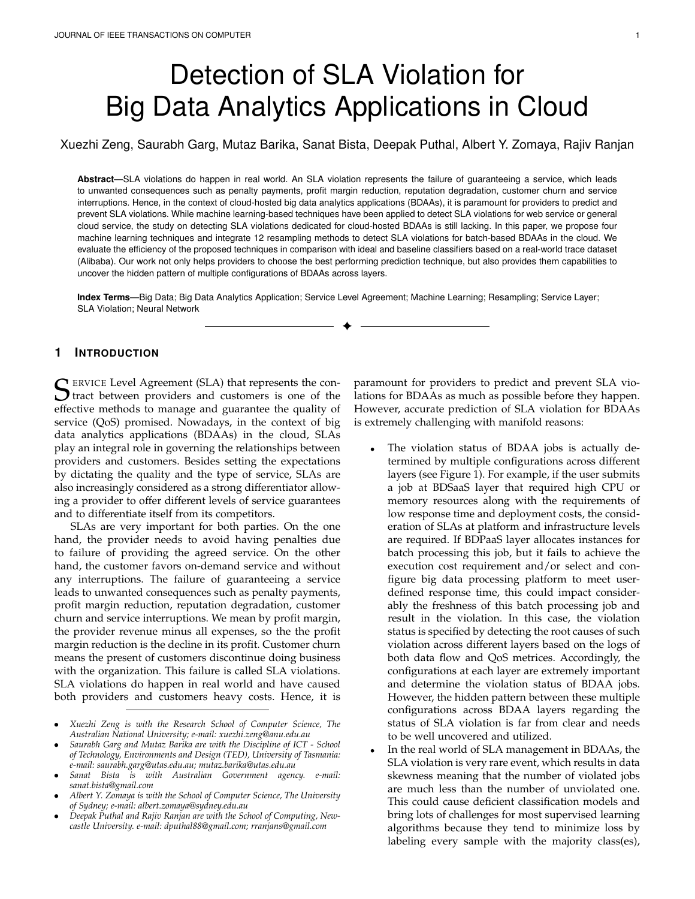

Fig. 7. Top 10 techniques measured by ROC

ROC value. This time XGB excels RF because the top 8 ROC value are all achieved by XGB. Specifically, XGB plus ROS ranks the top, followed by XGB plus Borderline-2, and XGB by SMOTE-ENN. It is concluded that extreme gradient boosting (XGB) + random oversampling (ROS) is the technique winning the top ROC value.

We summarise our finding as follows:

- The technique of winning the top accuracy and precision value: RF.
- The technique of winning the top recall value: XGB + NearMiss-2.
- The technique of winning the top  $F_2$  value: RF + Borderline-2.
- The technique of winning the top ROC value:  $XGB +$ ROS.

# **11 MATHEMATICAL MODEL AND ASSUMP-TIONS ON PROVIDERS' PROFIT**

So far, we identified the four prediction techniques in achieving the highest value of accuracy, precision, recall,  $F_2$  and ROC respectively. However, it is not clear for providers how each prediction technique impacts the profit they can earn. Hence, providers would not be able to choose which prediction technique is best given their workload characteristics. In order to answer this question, we further investigate the capability of these 4 prediction techniques in achieving the profit and compare them with the Ideal and Baseline classifiers.

For clarity and quick reference, we develop a set of mathematical symbols in Table 5 to characterize the elements in our mathematical model frequently used hereafter.

For simplicity, we assume that each job  $J_i$  in  $J$  shares the equal expense  $E$  and revenue  $R$ , hence, their profit margin is also equal. Therefore, we have the following formulas:

$$
Margin = \frac{R - E}{R}
$$

 $Profit_{max} = Margin R (N_{TN} + N_{FP})$ 

Profit of the provider will be dependent on how many jobs that are not violated. Therefore, number of false positive and true negatives are considered to calculate the profit.

## **11.1 Admission Control Policy and Profit Loss Matrix**

Given the outcome of each prediction technique, providers consider the following admission control policies shown in Table 6 in order to optimize their profit:

TABLE 5 Notation used in the mathematical model of providers' profit

| Symbols             | Description                                                                             |  |
|---------------------|-----------------------------------------------------------------------------------------|--|
|                     | A set of batch jobs or workloads                                                        |  |
| $J_i$               | a batch job or workload instance in J                                                   |  |
| $\overline{N}_{TN}$ | The quantity of True Negative $(TN)$ jobs in $J$                                        |  |
| $N_{FP}$            | The quantity of False Positive (FP) jobs in J                                           |  |
| $N_{FN}$            | The quantity of False Negative (FN) jobs in $J$                                         |  |
| $\overline{N_{TP}}$ | The quantity of True Positive (TP) jobs in $J$                                          |  |
| $E_i$               | The expense of processing a job $J_i$                                                   |  |
| $\overline{R_i}$    | The revenue that a provider receives if he processes the                                |  |
|                     | job $J_i$ successfully                                                                  |  |
| $E_i$               | the expense of processing a job $J_i$                                                   |  |
| Margin <sub>i</sub> | The profit margin that a provider makes if successfully                                 |  |
|                     | processing a job $J_i$                                                                  |  |
| PenaltyRate         | The penalty ratio when a provider violated SLA                                          |  |
| Profit <sub>I</sub> | The actual profit that a provider makes after processing                                |  |
|                     |                                                                                         |  |
| $Profit_{max}$      | The maximum amount of profit the provider can make                                      |  |
| ProfitRatio         | The percentage of the actual profit after processing J                                  |  |
|                     | over the maximized profit that a provider makes. It is<br>defined by $\frac{Profit}{i}$ |  |
|                     | defined by $\frac{P1U11}{Prof\underline{I}tmax}$                                        |  |

TABLE 6 Admission control policy matrix by providers

|                           | Violated (Real) | Non-Violated (Real) |
|---------------------------|-----------------|---------------------|
| Violated (Prediction)     | Reject          | Reject              |
| Non-Violated (Prediction) | Accept          | Accept              |

- Accept: provider will accept a batch job  $J_i$  if it is predicted as "non-violated". In this case,  $N_{TN}$  plus  $N_{FP}$  jobs will be accepted by providers.
- Reject: providers will reject a batch job  $J_i$  if it is predicted as "violated". In this case,  $N_{FN}$  plus  $N_{TP}$ batch jobs will be rejected by providers.

According to Table 6, there are four situations considered:

- TN (True Negative): means a job  $J_i$  is actually "nonviolated" and the prediction technique successfully predicts it as "non-violated". This is a good situation, and hence no profit loss will be produced. Clearly, providers will accept this job  $J_i$
- FN (False Negative): means a job  $J_i$  is actually "violated" and the prediction technique misclassifies it as "non-violated". In this case, providers will accept this job  $J_i$ . However, processing  $J_i$  in the production environment will cause loss not only the cost E, but also the penalty (equals to *PenaltyRate*  $E$ ) generated due to SLA violation contract. The total profit loss can be calculated as  $(1+PenaltyRate)$  E
- TP (True Positive): means the job  $J_i$  is actually "violated" and the prediction technique successfully predicts it as "violated". This is a good situation and providers would reject  $J_i$ . In this case, no profit loss will be produced
- FP (False Positive): means the job  $J_i$  is actually "nonviolated" and the classifier mistakenly predicts it as "violated". In this case, providers will reject to process this job  $J_i$ . However, giving up processing  $J_i$ in the production environment will cause the profit loss with the value of  $(R \t E)$ .

As profit loss is generated either by accepting or rejecting admission control policy, matrix based on the profit loss of every decision can be derived from the above admission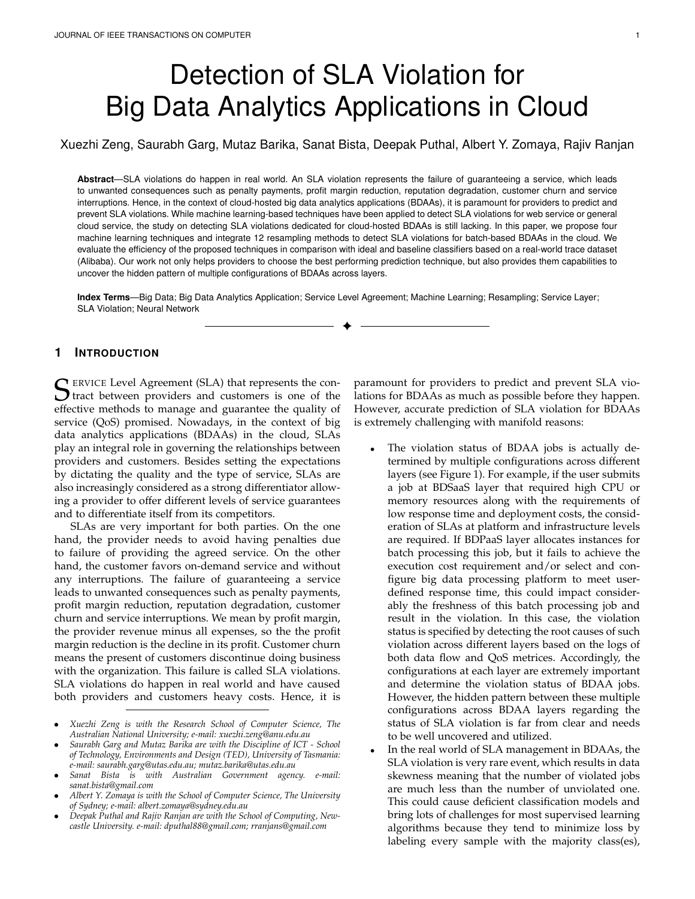TABLE 7 Profit loss matrix for SLA violation detection problem (Unit: \$/job)

|                           | Violated (Real)      | Non-Violated (Real) |
|---------------------------|----------------------|---------------------|
| Violated (Prediction)     |                      | $-(R-E)$            |
| Non-Violated (Prediction) | $(1+PenaltyRatio)*E$ |                     |

TABLE 8 Different combination of PenaltyRate and ProfitMargin

| PenaltyRate PenaltyMargin |     | Comment                                   |
|---------------------------|-----|-------------------------------------------|
| 0.1                       | 0.1 | Low Penalty Rate, Low Profit Margin       |
| 0.25                      | 0.1 | Medium Penalty Rate, Low Profit Margin    |
|                           | 0.1 | High Penalty Rate, Low Profit Margin      |
| 0.1                       | 0.2 | Low Penalty Rate, Medium Profit Margin    |
| 0.25                      | 02  | Medium Penalty Rate, Medium Profit Margin |
|                           | 02  | High Penalty Rate, Medium Profit Margin   |
| 0.1                       | 0.3 | Low Penalty Rate, High Profit Margin      |
| 0.25                      | 0.3 | Medium Penalty Rate, High Profit Margin   |
| 1                         | 0.3 | High Penalty Rate, High Profit Margin     |

control matrix and can be useful to evaluate the business value (profit-oriented) of a prediction technique. The details of profit loss information are shown in Table 7.

#### **11.2 The Formulation of a Provider's Profit**

Now, we can derive the formula of a provider's profit Prof it  $J$  after processing  $J$  based on the SLA violation detection outcome by a particular prediction technique.

 $Profit:$  $(R-E)*(N_{TN}+N_{FP})-(1+PenaltyRate)*E*N_{FN}-(R-E)*N_{FP}$ 

 $= Margin \times R \times N_{TN} - (1 + PenaltyRate) \times R \times (1 - Margin) \times N_{FN}$ 

The final profit will depend on the number of nonviolations predicated corrected and the number of violations that are not predicated correctly.

Then, the ProfitRatio can be calculated according to the following formula:

$$
ProfitRatio = \frac{Profit_{J}}{Profit_{max}} = \frac{Margin * R * N_{TN} - (1 + PenaltyRate) * R * (1 - Margin) * N_{FN}}{Margin * R * (N_{TN} + N_{FP})} = \frac{Margin * N_{TN} - (1 + PenaltyRate) * (1 - Margin) * N_{FN}}{Margin * (N_{TN} + N_{FP})}
$$

It is seen that ProfitRatio is irrelevant with the revenue R, but dependents on the PenaltyRate and ProfitMargin. To explore how a provider's profit varies as the PenaltyRate and ProfitMargin changes given by the outcome of a prediction technique, we consider three types of PenaltyRate = [Low, Medium, High], which matches Alibaba's SLA definition [21], and three different types of ProfitMargin = [Low, Medium, High]. Their possible combinations are detailed in Table 8.

# **12 EXPERIMENTS AND DISCUSSION**

To measure how much profit a prediction technique can generate based on its prediction outcome, we calculate the value of ProfitRatio using the above formula for each of the four prediction techniques over the nine different combinations of PenaltyRate and ProfitMargin described in Table 8. The result in comparison with the ProfitRatio value of the Ideal and Baseline classifier is shown in Figure 8.

It is found that for each prediction technique using the same PenaltyRate, the value of ProfitRatio increases as the profit margin increases. This is because providers can get more profit from a prediction technique that correctly predicts more true negative jobs. For example, XGB plus NearMiss-2 (the top recall winner) increases its ProfitRatio

Overall, XGB plus ROS and RF plus Borderline-2 are the top two prediction techniques to acquire profit. Next is RF (the top accuracy and precision value winner), while XGB+NearMiss-2 (the top recall value winner) ranks the last. Specifically, when a low profit margin is applied, it is seen that XGB plus ROS (the top ROC winner) clearly outperforms RF plus borderline-2 (the top  $F_2$  value). The most improvement ratio by XGB+ROS over RF+borderline-2 is 11.7% when a high PenaltyRate is set. On the contrary, if a high profit margin is set, it is seen that RF plus borderline-2 (the top  $F_2$  value) is slightly stronger than XGB plus ROS (the top ROC winner) regarding the capability of making a profit. Similarly, if a medium profit margin is applied, RF plus borderline-2 (the top  $F_2$  value) is gently better than XGB plus ROS (the top ROC winner) except a high PenaltyRate is set.

Even though XGB plus NearMiss-2 achieves the top recall value, it performs worse in maximizing the profit. The reason is that XGB+NearMiss-2 featured by a very high recall value (97.15%) and an extremely low precision value (only 13.64%), suffers lots of false positive cases. According to the admission control policies, lots of false positive misclassification makes providers reject these batch jobs, and hence causes a heavy loss of profit. Comparatively, RF plus borderline-2 (precision =  $75.36\%$ , recall =  $86.02\%$ ), XGB plus ROS (precision  $= 59.12\%$ , recall  $= 92.43\%$ ), and RF (precision  $= 93.28\%$ , recall  $= 74.08\%$ ) reasonably balanced the precision and recall, and hence they achieve a more decent profit.

Moreover, it is observed that the Baseline classifier fluctuates significantly over the nine combinations of PenaltyRate and ProfitMargin. Specifically, when a low profit margin is applied, the profit it gets is minus. This is because the precision and recall value of Baseline classifier is zero, which causes a very high penalty, and the benefit from correctly predicting true negative jobs is very limited when a low profit margin is set. This situation has been changed since higher profit margins (e.g., medium ProfitMargin and high ProfitMargin) are applied. It can be concluded that RF plus borderline-2 and XGB plus ROS are the two best prediction techniques that provider can make optimal profit based on their prediction outcome of SLA violation.

It is worth noting that both RF and XGB provide human interpretable results. According to the aforementioned working mechanism of RF and XGB, multiple single decision trees are generated and work together towards the final prediction outcome. Each single decision tree provides a very intuitive way to understand how it works on the prediction because it follows a method of decision-making that is very similar to how humans make decisions with a chain of simple rules. Both RF and XGB can visualize any single decision trees inside them. An example of the selected single decision trees (the depth of the tree is set to 3 for better visualization) for RF and XGB respectively is shown in Figure 7 in Appendix H. It is observed from Figure 7(a) that among totally five appeared features, there are three features (i.e.,X6,X7, and X8) belong to BDPaaS layer. Similarly, according to Figure 7(b), among totally five appeared features, there are four features (i.e.,X4,X5,X7, and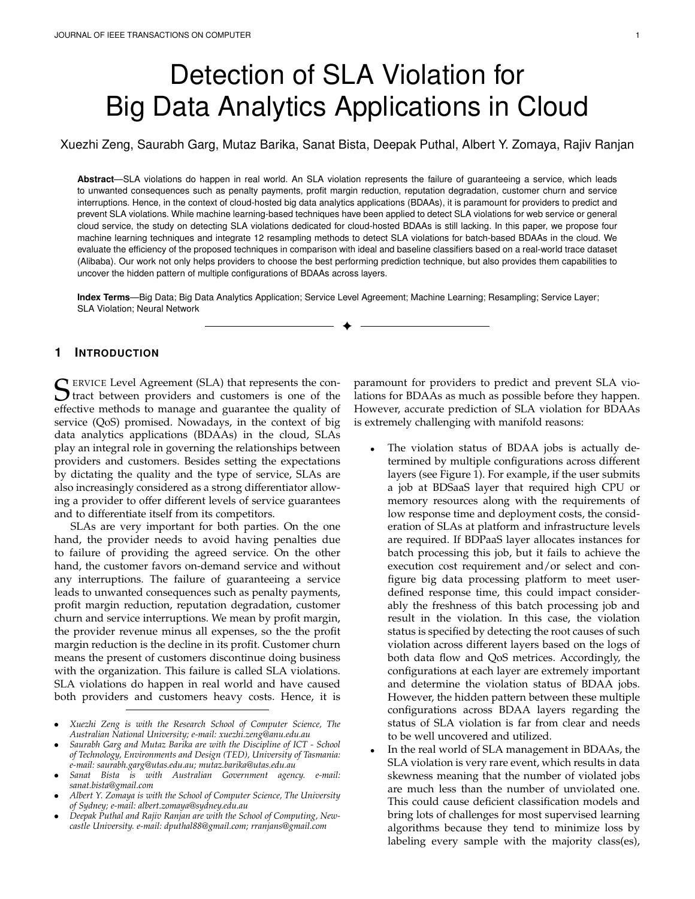X8) belong to BDPaaS layer. This demonstrates that the features at BDPaaS layer (i.e.,X4X8) play a dominant part in determining the final violation status compared to other features from BDSaaSand CIaaS layer.

In addition, both RF and XGB allow us to disclose each feature's importance playing in the classification of SLA violation. Based on our well-trained model, the average importance of these ten features based on 10-fold stratified cross validation is shown in Figure 9(a) for RF plus Borderline-2 and in Figure 9(b) for XGB plus ROS respectively. It is observed that the real\_cpu\_max has the highest contribution, followed by memory\_requested and the number of instances for XGB plus ROS. Also, it is seen that the real cpu max has the top contribution, next is real\_cpu\_avg, followed by real\_mem\_avg for RF + Borderline-2. Moreover, *memory\_capacity* and cpu requested have much lower contributions than other features in both RF and XGB predictors.

Further, we aggregate the feature importance by layers and present the graphical representation in Figure 10. It is found that for XGB plus ROS, the aggregated features importance at BDPaaS layer is dominant, occupying 63%, roughly two times than that at BDSaaS layer (29%), and eight times than that at CIaaS layer (8%). Similarly, for RF plus Borderline-2, the aggregated features importance at BDPaaS layer is also dominant, occupying 72%, roughly three times than that at BDSaaS layer (20%), and nine times than that at CIaaS layer (8%).

It can be concluded that both XGB and RF attach more importance to the features from BDPaaS layer (i.e., real\_cpu\_max, real\_cpu\_avg, number\_of\_instances, and real\_mem\_avg) compared to the feature (cpu\_requested) at BDSaaS layer and feature (memory\_capcacity) at CIaaS layer. This is a further evidence that the features at BDPaaS layer (i.e.,  $X_4$   $X_8$ ) are determinant factors to detect final violation status.

Such findings uncover the hidden patterns of the multiple configurations across layers and provide insightful information to providers for decision making. Concretely, BDPaaS layer needs more attention that can better serve the batch job workloads. For example, at BDPaaS layer, scheduling a batch job that better allocates the CPU or memory or reasonably split the job into the number of instances can improve the efficiency in reducing SLA violations. On the contrary, paying attention to the capacity of memory or CPU at CIaaS layer or the requested CPU at BDSaaS layer, will generate insignificant efficiency in reducing the SLA violations.

## **13 CONCLUSIONS AND FUTURE WORKS**

In this paper, we addressed the problem of detecting SLA violations for a real cloud-hosted BDAA. We used the dataset that is newly released by Alibaba and contains detailed trace information regarding batch workloads among 1300 machines in 12 hours. We explored four diverse machine learning-based predictors (i.e., logistics regression, artificial neural network, random forest, and extreme gradient boosting) to detect the SLA violations. Since the dataset is heavily skewed, we also examined 12 different resampling techniques to handle the challenge of data skewness in



Fig. 8. The capability of a prediction technique in achieving profit on different PenaltyRatio and ProfitMargin combination



(a) Random forest plus Borderline-2



(b) Extreme gradient boosting plus random oversampling

Fig. 9. The average importance of each feature in RF and XGB